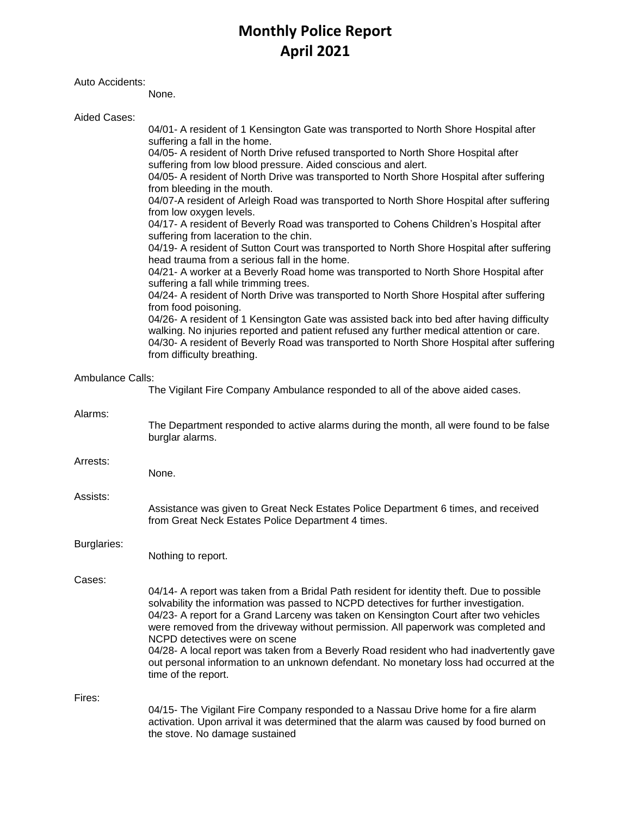# **Monthly Police Report April 2021**

## Auto Accidents:

None.

| Aided Cases:            |                                                                                                                                                                                                                                                                                                                                                                                                                                                                                                                                                                                       |
|-------------------------|---------------------------------------------------------------------------------------------------------------------------------------------------------------------------------------------------------------------------------------------------------------------------------------------------------------------------------------------------------------------------------------------------------------------------------------------------------------------------------------------------------------------------------------------------------------------------------------|
|                         | 04/01- A resident of 1 Kensington Gate was transported to North Shore Hospital after<br>suffering a fall in the home.<br>04/05- A resident of North Drive refused transported to North Shore Hospital after<br>suffering from low blood pressure. Aided conscious and alert.                                                                                                                                                                                                                                                                                                          |
|                         | 04/05- A resident of North Drive was transported to North Shore Hospital after suffering<br>from bleeding in the mouth.<br>04/07-A resident of Arleigh Road was transported to North Shore Hospital after suffering                                                                                                                                                                                                                                                                                                                                                                   |
|                         | from low oxygen levels.<br>04/17- A resident of Beverly Road was transported to Cohens Children's Hospital after                                                                                                                                                                                                                                                                                                                                                                                                                                                                      |
|                         | suffering from laceration to the chin.<br>04/19- A resident of Sutton Court was transported to North Shore Hospital after suffering<br>head trauma from a serious fall in the home.                                                                                                                                                                                                                                                                                                                                                                                                   |
|                         | 04/21- A worker at a Beverly Road home was transported to North Shore Hospital after<br>suffering a fall while trimming trees.                                                                                                                                                                                                                                                                                                                                                                                                                                                        |
|                         | 04/24- A resident of North Drive was transported to North Shore Hospital after suffering<br>from food poisoning.<br>04/26- A resident of 1 Kensington Gate was assisted back into bed after having difficulty                                                                                                                                                                                                                                                                                                                                                                         |
|                         | walking. No injuries reported and patient refused any further medical attention or care.<br>04/30- A resident of Beverly Road was transported to North Shore Hospital after suffering<br>from difficulty breathing.                                                                                                                                                                                                                                                                                                                                                                   |
| <b>Ambulance Calls:</b> | The Vigilant Fire Company Ambulance responded to all of the above aided cases.                                                                                                                                                                                                                                                                                                                                                                                                                                                                                                        |
| Alarms:                 | The Department responded to active alarms during the month, all were found to be false<br>burglar alarms.                                                                                                                                                                                                                                                                                                                                                                                                                                                                             |
| Arrests:                | None.                                                                                                                                                                                                                                                                                                                                                                                                                                                                                                                                                                                 |
| Assists:                | Assistance was given to Great Neck Estates Police Department 6 times, and received<br>from Great Neck Estates Police Department 4 times.                                                                                                                                                                                                                                                                                                                                                                                                                                              |
| Burglaries:             | Nothing to report.                                                                                                                                                                                                                                                                                                                                                                                                                                                                                                                                                                    |
| Cases:                  |                                                                                                                                                                                                                                                                                                                                                                                                                                                                                                                                                                                       |
|                         | 04/14- A report was taken from a Bridal Path resident for identity theft. Due to possible<br>solvability the information was passed to NCPD detectives for further investigation.<br>04/23- A report for a Grand Larceny was taken on Kensington Court after two vehicles<br>were removed from the driveway without permission. All paperwork was completed and<br>NCPD detectives were on scene<br>04/28- A local report was taken from a Beverly Road resident who had inadvertently gave<br>out personal information to an unknown defendant. No monetary loss had occurred at the |
|                         | time of the report.                                                                                                                                                                                                                                                                                                                                                                                                                                                                                                                                                                   |
| Fires:                  | 04/15- The Vigilant Fire Company responded to a Nassau Drive home for a fire alarm                                                                                                                                                                                                                                                                                                                                                                                                                                                                                                    |
|                         | activation. Upon arrival it was determined that the alarm was caused by food burned on<br>the stove. No damage sustained                                                                                                                                                                                                                                                                                                                                                                                                                                                              |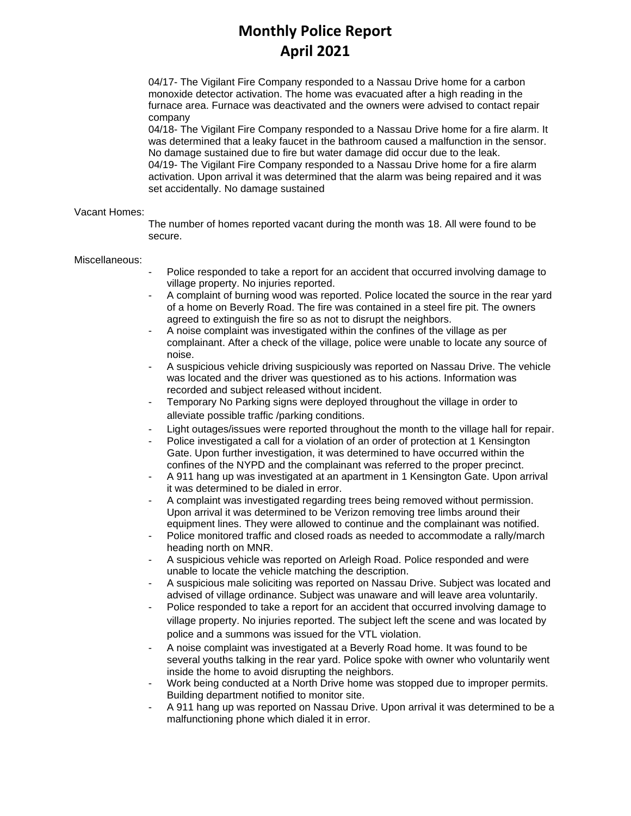# **Monthly Police Report April 2021**

04/17- The Vigilant Fire Company responded to a Nassau Drive home for a carbon monoxide detector activation. The home was evacuated after a high reading in the furnace area. Furnace was deactivated and the owners were advised to contact repair company

04/18- The Vigilant Fire Company responded to a Nassau Drive home for a fire alarm. It was determined that a leaky faucet in the bathroom caused a malfunction in the sensor. No damage sustained due to fire but water damage did occur due to the leak. 04/19- The Vigilant Fire Company responded to a Nassau Drive home for a fire alarm activation. Upon arrival it was determined that the alarm was being repaired and it was set accidentally. No damage sustained

#### Vacant Homes:

The number of homes reported vacant during the month was 18. All were found to be secure.

#### Miscellaneous:

- Police responded to take a report for an accident that occurred involving damage to village property. No injuries reported.
- A complaint of burning wood was reported. Police located the source in the rear yard of a home on Beverly Road. The fire was contained in a steel fire pit. The owners agreed to extinguish the fire so as not to disrupt the neighbors.
- A noise complaint was investigated within the confines of the village as per complainant. After a check of the village, police were unable to locate any source of noise.
- A suspicious vehicle driving suspiciously was reported on Nassau Drive. The vehicle was located and the driver was questioned as to his actions. Information was recorded and subject released without incident.
- Temporary No Parking signs were deployed throughout the village in order to alleviate possible traffic /parking conditions.
- Light outages/issues were reported throughout the month to the village hall for repair.
- Police investigated a call for a violation of an order of protection at 1 Kensington Gate. Upon further investigation, it was determined to have occurred within the confines of the NYPD and the complainant was referred to the proper precinct.
- A 911 hang up was investigated at an apartment in 1 Kensington Gate. Upon arrival it was determined to be dialed in error.
- A complaint was investigated regarding trees being removed without permission. Upon arrival it was determined to be Verizon removing tree limbs around their equipment lines. They were allowed to continue and the complainant was notified.
- Police monitored traffic and closed roads as needed to accommodate a rally/march heading north on MNR.
- A suspicious vehicle was reported on Arleigh Road. Police responded and were unable to locate the vehicle matching the description.
- A suspicious male soliciting was reported on Nassau Drive. Subject was located and advised of village ordinance. Subject was unaware and will leave area voluntarily.
- Police responded to take a report for an accident that occurred involving damage to village property. No injuries reported. The subject left the scene and was located by police and a summons was issued for the VTL violation.
- A noise complaint was investigated at a Beverly Road home. It was found to be several youths talking in the rear yard. Police spoke with owner who voluntarily went inside the home to avoid disrupting the neighbors.
- Work being conducted at a North Drive home was stopped due to improper permits. Building department notified to monitor site.
- A 911 hang up was reported on Nassau Drive. Upon arrival it was determined to be a malfunctioning phone which dialed it in error.